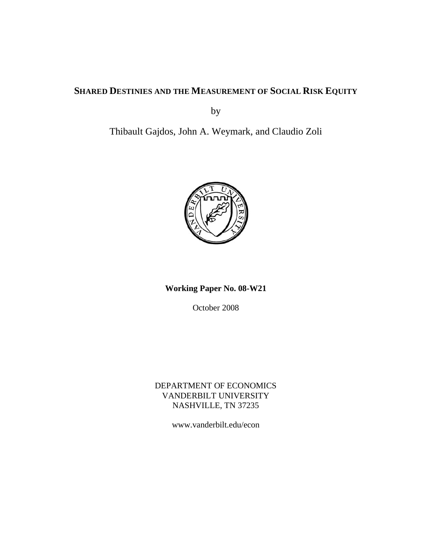## **SHARED DESTINIES AND THE MEASUREMENT OF SOCIAL RISK EQUITY**

by

Thibault Gajdos, John A. Weymark, and Claudio Zoli



**Working Paper No. 08-W21** 

October 2008

DEPARTMENT OF ECONOMICS VANDERBILT UNIVERSITY NASHVILLE, TN 37235

www.vanderbilt.edu/econ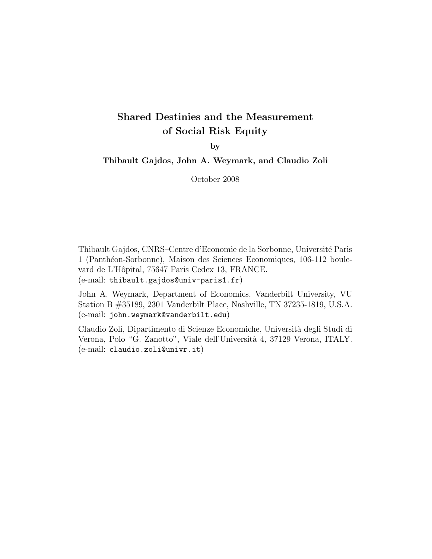# **Shared Destinies and the Measurement of Social Risk Equity**

**by**

**Thibault Gajdos, John A. Weymark, and Claudio Zoli**

October 2008

Thibault Gajdos, CNRS–Centre d'Economie de la Sorbonne, Universit´e Paris 1 (Panthéon-Sorbonne), Maison des Sciences Economiques, 106-112 boulevard de L'Hôpital, 75647 Paris Cedex 13, FRANCE. (e-mail: thibault.gajdos@univ-paris1.fr)

John A. Weymark, Department of Economics, Vanderbilt University, VU Station B #35189, 2301 Vanderbilt Place, Nashville, TN 37235-1819, U.S.A. (e-mail: john.weymark@vanderbilt.edu)

Claudio Zoli, Dipartimento di Scienze Economiche, Universit`a degli Studi di Verona, Polo "G. Zanotto", Viale dell'Universit`a 4, 37129 Verona, ITALY. (e-mail: claudio.zoli@univr.it)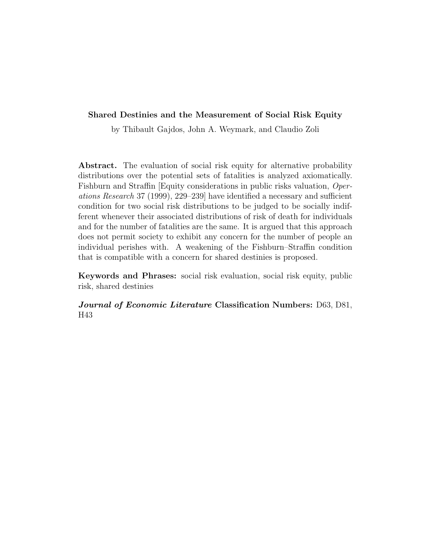## **Shared Destinies and the Measurement of Social Risk Equity**

by Thibault Gajdos, John A. Weymark, and Claudio Zoli

**Abstract.** The evaluation of social risk equity for alternative probability distributions over the potential sets of fatalities is analyzed axiomatically. Fishburn and Straffin [Equity considerations in public risks valuation, Operations Research 37 (1999), 229–239] have identified a necessary and sufficient condition for two social risk distributions to be judged to be socially indifferent whenever their associated distributions of risk of death for individuals and for the number of fatalities are the same. It is argued that this approach does not permit society to exhibit any concern for the number of people an individual perishes with. A weakening of the Fishburn–Straffin condition that is compatible with a concern for shared destinies is proposed.

**Keywords and Phrases:** social risk evaluation, social risk equity, public risk, shared destinies

*Journal of Economic Literature* **Classification Numbers:** D63, D81, H43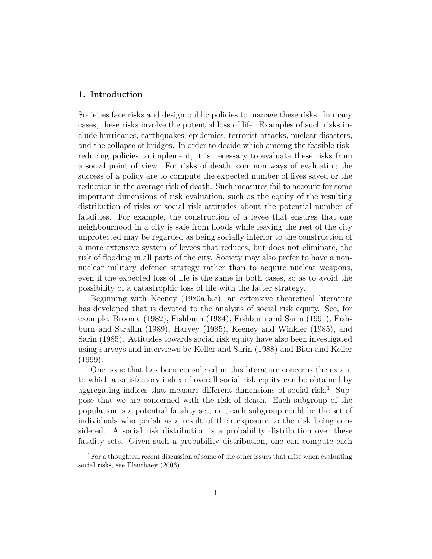## **1. Introduction**

Societies face risks and design public policies to manage these risks. In many cases, these risks involve the potential loss of life. Examples of such risks include hurricanes, earthquakes, epidemics, terrorist attacks, nuclear disasters, and the collapse of bridges. In order to decide which amomg the feasible riskreducing policies to implement, it is necessary to evaluate these risks from a social point of view. For risks of death, common ways of evaluating the success of a policy are to compute the expected number of lives saved or the reduction in the average risk of death. Such measures fail to account for some important dimensions of risk evaluation, such as the equity of the resulting distribution of risks or social risk attitudes about the potential number of fatalities. For example, the construction of a levee that ensures that one neighbourhood in a city is safe from floods while leaving the rest of the city unprotected may be regarded as being socially inferior to the construction of a more extensive system of levees that reduces, but does not eliminate, the risk of flooding in all parts of the city. Society may also prefer to have a nonnuclear military defence strategy rather than to acquire nuclear weapons, even if the expected loss of life is the same in both cases, so as to avoid the possibility of a catastrophic loss of life with the latter strategy.

Beginning with Keeney (1980a,b,c), an extensive theoretical literature has developed that is devoted to the analysis of social risk equity. See, for example, Broome (1982), Fishburn (1984), Fishburn and Sarin (1991), Fishburn and Straffin (1989), Harvey (1985), Keeney and Winkler (1985), and Sarin (1985). Attitudes towards social risk equity have also been investigated using surveys and interviews by Keller and Sarin (1988) and Bian and Keller (1999).

One issue that has been considered in this literature concerns the extent to which a satisfactory index of overall social risk equity can be obtained by aggregating indices that measure different dimensions of social risk.<sup>1</sup> Suppose that we are concerned with the risk of death. Each subgroup of the population is a potential fatality set; i.e., each subgroup could be the set of individuals who perish as a result of their exposure to the risk being considered. A social risk distribution is a probability distribution over these fatality sets. Given such a probability distribution, one can compute each

<sup>1</sup>For a thoughtful recent discussion of some of the other issues that arise when evaluating social risks, see Fleurbaey (2006).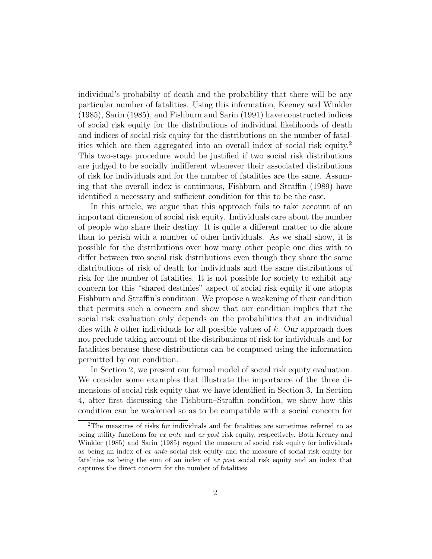individual's probabilty of death and the probability that there will be any particular number of fatalities. Using this information, Keeney and Winkler (1985), Sarin (1985), and Fishburn and Sarin (1991) have constructed indices of social risk equity for the distributions of individual likelihoods of death and indices of social risk equity for the distributions on the number of fatalities which are then aggregated into an overall index of social risk equity.<sup>2</sup> This two-stage procedure would be justified if two social risk distributions are judged to be socially indifferent whenever their associated distributions of risk for individuals and for the number of fatalities are the same. Assuming that the overall index is continuous, Fishburn and Straffin (1989) have identified a necessary and sufficient condition for this to be the case.

In this article, we argue that this approach fails to take account of an important dimension of social risk equity. Individuals care about the number of people who share their destiny. It is quite a different matter to die alone than to perish with a number of other individuals. As we shall show, it is possible for the distributions over how many other people one dies with to differ between two social risk distributions even though they share the same distributions of risk of death for individuals and the same distributions of risk for the number of fatalities. It is not possible for society to exhibit any concern for this "shared destinies" aspect of social risk equity if one adopts Fishburn and Straffin's condition. We propose a weakening of their condition that permits such a concern and show that our condition implies that the social risk evaluation only depends on the probabilities that an individual dies with k other individuals for all possible values of  $k$ . Our approach does not preclude taking account of the distributions of risk for individuals and for fatalities because these distributions can be computed using the information permitted by our condition.

In Section 2, we present our formal model of social risk equity evaluation. We consider some examples that illustrate the importance of the three dimensions of social risk equity that we have identified in Section 3. In Section 4, after first discussing the Fishburn–Straffin condition, we show how this condition can be weakened so as to be compatible with a social concern for

<sup>2</sup>The measures of risks for individuals and for fatalities are sometimes referred to as being utility functions for ex ante and ex post risk equity, respectively. Both Keeney and Winkler (1985) and Sarin (1985) regard the measure of social risk equity for individuals as being an index of ex ante social risk equity and the measure of social risk equity for fatalities as being the sum of an index of ex post social risk equity and an index that captures the direct concern for the number of fatalities.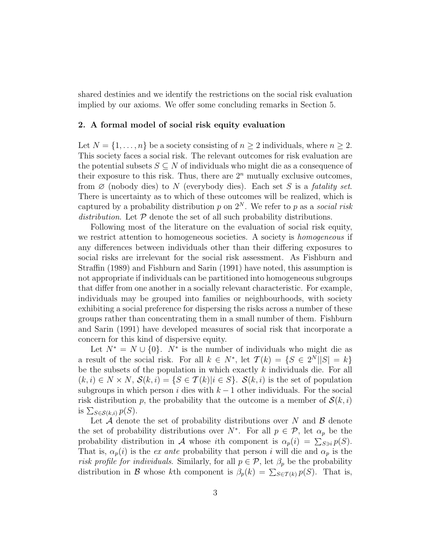shared destinies and we identify the restrictions on the social risk evaluation implied by our axioms. We offer some concluding remarks in Section 5.

#### **2. A formal model of social risk equity evaluation**

Let  $N = \{1, \ldots, n\}$  be a society consisting of  $n \geq 2$  individuals, where  $n \geq 2$ . This society faces a social risk. The relevant outcomes for risk evaluation are the potential subsets  $S \subseteq N$  of individuals who might die as a consequence of their exposure to this risk. Thus, there are  $2<sup>n</sup>$  mutually exclusive outcomes, from  $\emptyset$  (nobody dies) to N (everybody dies). Each set S is a *fatality set*. There is uncertainty as to which of these outcomes will be realized, which is captured by a probability distribution p on  $2^N$ . We refer to p as a social risk distribution. Let  $P$  denote the set of all such probability distributions.

Following most of the literature on the evaluation of social risk equity, we restrict attention to homogeneous societies. A society is homogeneous if any differences between individuals other than their differing exposures to social risks are irrelevant for the social risk assessment. As Fishburn and Straffin (1989) and Fishburn and Sarin (1991) have noted, this assumption is not appropriate if individuals can be partitioned into homogeneous subgroups that differ from one another in a socially relevant characteristic. For example, individuals may be grouped into families or neighbourhoods, with society exhibiting a social preference for dispersing the risks across a number of these groups rather than concentrating them in a small number of them. Fishburn and Sarin (1991) have developed measures of social risk that incorporate a concern for this kind of dispersive equity.

Let  $N^* = N \cup \{0\}$ .  $N^*$  is the number of individuals who might die as a result of the social risk. For all  $k \in N^*$ , let  $\mathcal{T}(k) = \{S \in 2^N | |S| = k\}$ be the subsets of the population in which exactly  $k$  individuals die. For all  $(k, i) \in N \times N$ ,  $\mathcal{S}(k, i) = \{S \in \mathcal{T}(k) | i \in S\}$ .  $\mathcal{S}(k, i)$  is the set of population subgroups in which person i dies with  $k-1$  other individuals. For the social risk distribution p, the probability that the outcome is a member of  $\mathcal{S}(k, i)$ is  $\sum_{S \in \mathcal{S}(k,i)} p(S)$ .

Let  $A$  denote the set of probability distributions over N and  $B$  denote the set of probability distributions over  $N^*$ . For all  $p \in \mathcal{P}$ , let  $\alpha_p$  be the probability distribution in A whose *i*th component is  $\alpha_p(i) = \sum_{S \ni i} p(S)$ . That is,  $\alpha_p(i)$  is the ex ante probability that person i will die and  $\alpha_p$  is the risk profile for individuals. Similarly, for all  $p \in \mathcal{P}$ , let  $\beta_p$  be the probability distribution in B whose kth component is  $\beta_p(k) = \sum_{S \in \mathcal{T}(k)} p(S)$ . That is,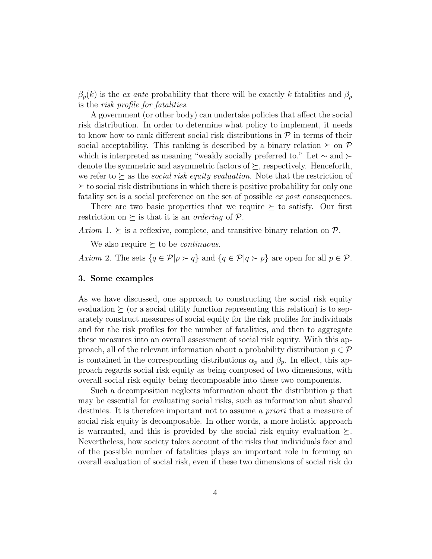$\beta_p(k)$  is the *ex ante* probability that there will be exactly k fatalities and  $\beta_p$ is the risk profile for fatalities.

A government (or other body) can undertake policies that affect the social risk distribution. In order to determine what policy to implement, it needs to know how to rank different social risk distributions in  $P$  in terms of their social acceptability. This ranking is described by a binary relation  $\succeq$  on P which is interpreted as meaning "weakly socially preferred to." Let ∼ and denote the symmetric and asymmetric factors of  $\succeq$ , respectively. Henceforth, we refer to  $\succeq$  as the *social risk equity evaluation*. Note that the restriction of  $\succeq$  to social risk distributions in which there is positive probability for only one fatality set is a social preference on the set of possible *ex post* consequences.

There are two basic properties that we require  $\succeq$  to satisfy. Our first restriction on  $\succeq$  is that it is an *ordering* of  $P$ .

Axiom 1.  $\succeq$  is a reflexive, complete, and transitive binary relation on  $P$ .

We also require  $\succeq$  to be *continuous*.

Axiom 2. The sets  $\{q \in \mathcal{P} | p \succ q\}$  and  $\{q \in \mathcal{P} | q \succ p\}$  are open for all  $p \in \mathcal{P}$ .

### **3. Some examples**

As we have discussed, one approach to constructing the social risk equity evaluation  $\succeq$  (or a social utility function representing this relation) is to separately construct measures of social equity for the risk profiles for individuals and for the risk profiles for the number of fatalities, and then to aggregate these measures into an overall assessment of social risk equity. With this approach, all of the relevant information about a probability distribution  $p \in \mathcal{P}$ is contained in the corresponding distributions  $\alpha_p$  and  $\beta_p$ . In effect, this approach regards social risk equity as being composed of two dimensions, with overall social risk equity being decomposable into these two components.

Such a decomposition neglects information about the distribution  $p$  that may be essential for evaluating social risks, such as information abut shared destinies. It is therefore important not to assume a *priori* that a measure of social risk equity is decomposable. In other words, a more holistic approach is warranted, and this is provided by the social risk equity evaluation  $\succeq$ . Nevertheless, how society takes account of the risks that individuals face and of the possible number of fatalities plays an important role in forming an overall evaluation of social risk, even if these two dimensions of social risk do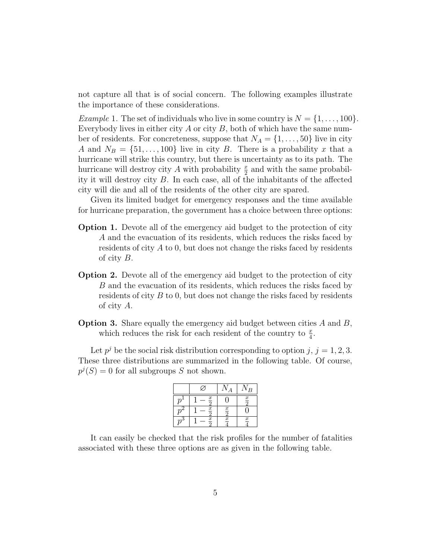not capture all that is of social concern. The following examples illustrate the importance of these considerations.

*Example 1.* The set of individuals who live in some country is  $N = \{1, \ldots, 100\}$ . Everybody lives in either city  $A$  or city  $B$ , both of which have the same number of residents. For concreteness, suppose that  $N_A = \{1, \ldots, 50\}$  live in city A and  $N_B = \{51, \ldots, 100\}$  live in city B. There is a probability x that a hurricane will strike this country, but there is uncertainty as to its path. The hurricane will destroy city A with probability  $\frac{x}{2}$  and with the same probability it will destroy city B. In each case, all of the inhabitants of the affected city will die and all of the residents of the other city are spared.

Given its limited budget for emergency responses and the time available for hurricane preparation, the government has a choice between three options:

- **Option 1.** Devote all of the emergency aid budget to the protection of city A and the evacuation of its residents, which reduces the risks faced by residents of city A to 0, but does not change the risks faced by residents of city B.
- **Option 2.** Devote all of the emergency aid budget to the protection of city B and the evacuation of its residents, which reduces the risks faced by residents of city B to 0, but does not change the risks faced by residents of city A.
- **Option 3.** Share equally the emergency aid budget between cities A and B, which reduces the risk for each resident of the country to  $\frac{x}{4}$ .

Let  $p^{j}$  be the social risk distribution corresponding to option j,  $j = 1, 2, 3$ . These three distributions are summarized in the following table. Of course,  $p'(S) = 0$  for all subgroups S not shown.

|                  |                  | $\overline{B}$   |
|------------------|------------------|------------------|
| $\boldsymbol{x}$ |                  | $\frac{x}{2}$    |
| $\boldsymbol{x}$ | $\underline{x}$  |                  |
| $\boldsymbol{x}$ | $\boldsymbol{x}$ | $\boldsymbol{x}$ |

It can easily be checked that the risk profiles for the number of fatalities associated with these three options are as given in the following table.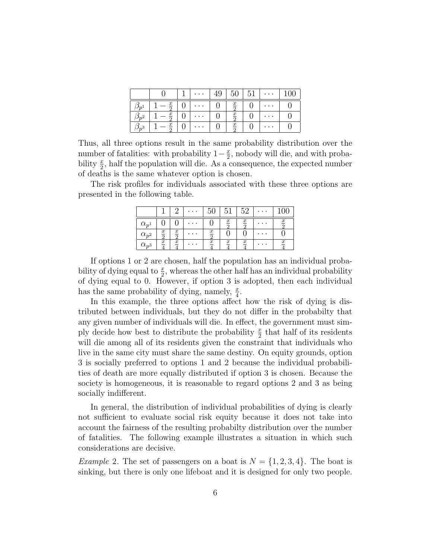|          |                  | $\cdots$  |                  | 51 | $\cdots$        | 100 |
|----------|------------------|-----------|------------------|----|-----------------|-----|
|          | $-\frac{x}{x}$   | $\cdots$  | $rac{x}{2}$      |    | $\cdots$        |     |
| $\Omega$ | $-\frac{x}{x}$   | $\cdots$  | $rac{x}{2}$      |    | $\cdots$        |     |
|          | $\boldsymbol{x}$ | $\cdot$ . | $\boldsymbol{x}$ |    | $\cdot$ $\cdot$ |     |

Thus, all three options result in the same probability distribution over the number of fatalities: with probability  $1-\frac{x}{2}$ , nobody will die, and with probability  $\frac{x}{2}$ , half the population will die. As a consequence, the expected number of deaths is the same whatever option is chosen.

The risk profiles for individuals associated with these three options are presented in the following table.

|                |                  |                  | $\cdot$ . |                  | h                | 52               |                  |
|----------------|------------------|------------------|-----------|------------------|------------------|------------------|------------------|
| $\alpha_{p1}$  |                  |                  | .         |                  | $\boldsymbol{x}$ | $\boldsymbol{x}$ | $\boldsymbol{x}$ |
| $\alpha_{p^2}$ | $\underline{x}$  | $\boldsymbol{x}$ |           | $\boldsymbol{x}$ |                  |                  |                  |
| $\alpha_{p^3}$ | $\boldsymbol{x}$ | $\boldsymbol{x}$ |           | $\boldsymbol{x}$ | $\boldsymbol{x}$ | $\boldsymbol{x}$ | $\boldsymbol{x}$ |

If options 1 or 2 are chosen, half the population has an individual probability of dying equal to  $\frac{x}{2}$ , whereas the other half has an individual probability of dying equal to 0. However, if option 3 is adopted, then each individual has the same probability of dying, namely,  $\frac{x}{4}$ .

In this example, the three options affect how the risk of dying is distributed between individuals, but they do not differ in the probabilty that any given number of individuals will die. In effect, the government must simply decide how best to distribute the probability  $\frac{x}{2}$  that half of its residents will die among all of its residents given the constraint that individuals who live in the same city must share the same destiny. On equity grounds, option 3 is socially preferred to options 1 and 2 because the individual probabilities of death are more equally distributed if option 3 is chosen. Because the society is homogeneous, it is reasonable to regard options 2 and 3 as being socially indifferent.

In general, the distribution of individual probabilities of dying is clearly not sufficient to evaluate social risk equity because it does not take into account the fairness of the resulting probabilty distribution over the number of fatalities. The following example illustrates a situation in which such considerations are decisive.

*Example* 2. The set of passengers on a boat is  $N = \{1, 2, 3, 4\}$ . The boat is sinking, but there is only one lifeboat and it is designed for only two people.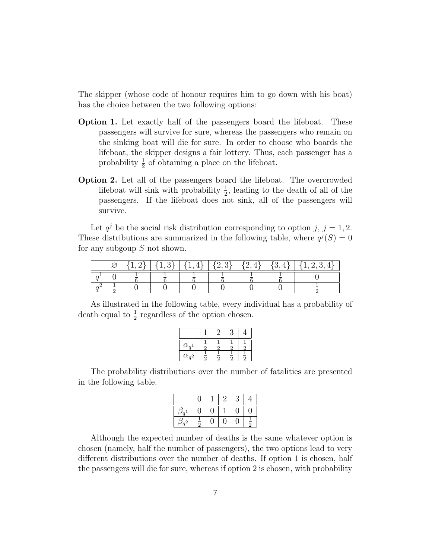The skipper (whose code of honour requires him to go down with his boat) has the choice between the two following options:

- **Option 1.** Let exactly half of the passengers board the lifeboat. These passengers will survive for sure, whereas the passengers who remain on the sinking boat will die for sure. In order to choose who boards the lifeboat, the skipper designs a fair lottery. Thus, each passenger has a probability  $\frac{1}{2}$  of obtaining a place on the lifeboat.
- **Option 2.** Let all of the passengers board the lifeboat. The overcrowded lifeboat will sink with probability  $\frac{1}{2}$ , leading to the death of all of the passengers. If the lifeboat does not sink, all of the passengers will survive.

Let  $q^{j}$  be the social risk distribution corresponding to option j,  $j = 1, 2$ . These distributions are summarized in the following table, where  $q^{j}(S)=0$ for any subgoup S not shown.

|  |  |  |  | $\{1,4\}$   $\{2,3\}$   $\{2,4\}$   $\{3,4\}$   $\{1,2,3,4\}$ |
|--|--|--|--|---------------------------------------------------------------|
|  |  |  |  |                                                               |
|  |  |  |  |                                                               |

As illustrated in the following table, every individual has a probability of death equal to  $\frac{1}{2}$  regardless of the option chosen.

| $\alpha_{a}$   | ត | ÷<br>ភ | $\bar{5}$     |
|----------------|---|--------|---------------|
| $\alpha_{a^2}$ |   | Ξ      | $\frac{1}{2}$ |

The probability distributions over the number of fatalities are presented in the following table.

|                                     |               |  | 3 |               |
|-------------------------------------|---------------|--|---|---------------|
| 2<br>$\rho_{\boldsymbol{q}}$        |               |  | U | U             |
| っ<br>$\mathcal{O}_{\mathfrak{m}^2}$ | $\frac{1}{2}$ |  |   | $\frac{1}{2}$ |

Although the expected number of deaths is the same whatever option is chosen (namely, half the number of passengers), the two options lead to very different distributions over the number of deaths. If option 1 is chosen, half the passengers will die for sure, whereas if option 2 is chosen, with probability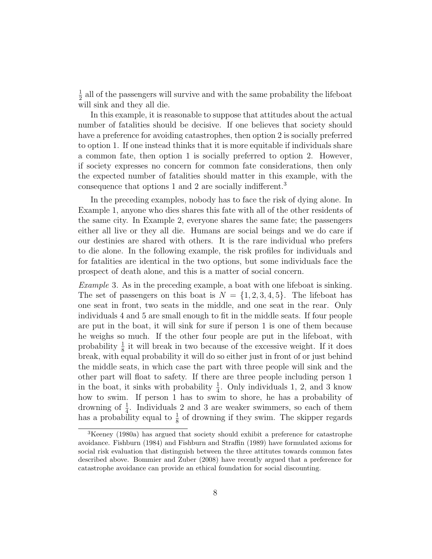$\frac{1}{2}$  all of the passengers will survive and with the same probability the lifeboat will sink and they all die.

In this example, it is reasonable to suppose that attitudes about the actual number of fatalities should be decisive. If one believes that society should have a preference for avoiding catastrophes, then option 2 is socially preferred to option 1. If one instead thinks that it is more equitable if individuals share a common fate, then option 1 is socially preferred to option 2. However, if society expresses no concern for common fate considerations, then only the expected number of fatalities should matter in this example, with the consequence that options 1 and 2 are socially indifferent.<sup>3</sup>

In the preceding examples, nobody has to face the risk of dying alone. In Example 1, anyone who dies shares this fate with all of the other residents of the same city. In Example 2, everyone shares the same fate; the passengers either all live or they all die. Humans are social beings and we do care if our destinies are shared with others. It is the rare individual who prefers to die alone. In the following example, the risk profiles for individuals and for fatalities are identical in the two options, but some individuals face the prospect of death alone, and this is a matter of social concern.

Example 3. As in the preceding example, a boat with one lifeboat is sinking. The set of passengers on this boat is  $N = \{1, 2, 3, 4, 5\}$ . The lifeboat has one seat in front, two seats in the middle, and one seat in the rear. Only individuals 4 and 5 are small enough to fit in the middle seats. If four people are put in the boat, it will sink for sure if person 1 is one of them because he weighs so much. If the other four people are put in the lifeboat, with probability  $\frac{1}{8}$  it will break in two because of the excessive weight. If it does break, with equal probability it will do so either just in front of or just behind the middle seats, in which case the part with three people will sink and the other part will float to safety. If there are three people including person 1 in the boat, it sinks with probability  $\frac{1}{4}$ . Only individuals 1, 2, and 3 know how to swim. If person 1 has to swim to shore, he has a probability of drowning of  $\frac{1}{4}$ . Individuals 2 and 3 are weaker swimmers, so each of them has a probability equal to  $\frac{1}{8}$  of drowning if they swim. The skipper regards

<sup>3</sup>Keeney (1980a) has argued that society should exhibit a preference for catastrophe avoidance. Fishburn (1984) and Fishburn and Straffin (1989) have formulated axioms for social risk evaluation that distinguish between the three attitutes towards common fates described above. Bommier and Zuber (2008) have recently argued that a preference for catastrophe avoidance can provide an ethical foundation for social discounting.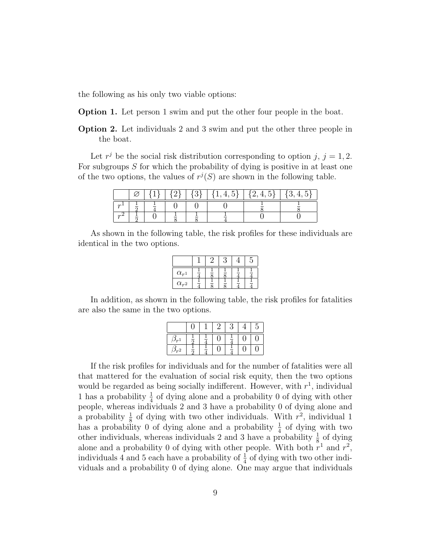the following as his only two viable options:

**Option 1.** Let person 1 swim and put the other four people in the boat.

**Option 2.** Let individuals 2 and 3 swim and put the other three people in the boat.

Let  $r^j$  be the social risk distribution corresponding to option j,  $j = 1, 2$ . For subgroups S for which the probability of dying is positive in at least one of the two options, the values of  $r^{j}(S)$  are shown in the following table.

|        |  |  | $\{1,4,5\}$   $\{2,4,5\}$ | $\{3, 4,$ |
|--------|--|--|---------------------------|-----------|
| $\sim$ |  |  |                           |           |
|        |  |  |                           |           |

As shown in the following table, the risk profiles for these individuals are identical in the two options.

| $\alpha_{r}$   |  |  |  |
|----------------|--|--|--|
| $\alpha_{r^2}$ |  |  |  |

In addition, as shown in the following table, the risk profiles for fatalities are also the same in the two options.

|        |                     |  | Ç<br>÷ | G |
|--------|---------------------|--|--------|---|
|        |                     |  |        |   |
| $2n-2$ | –<br>$\overline{ }$ |  | Ξ      |   |

If the risk profiles for individuals and for the number of fatalities were all that mattered for the evaluation of social risk equity, then the two options would be regarded as being socially indifferent. However, with  $r<sup>1</sup>$ , individual 1 has a probability  $\frac{1}{4}$  of dying alone and a probability 0 of dying with other people, whereas individuals 2 and 3 have a probability 0 of dying alone and a probability  $\frac{1}{8}$  of dying with two other individuals. With  $r^2$ , individual 1 has a probability 0 of dying alone and a probability  $\frac{1}{4}$  of dying with two other individuals, whereas individuals 2 and 3 have a probability  $\frac{1}{8}$  of dying alone and a probability 0 of dying with other people. With both  $r^1$  and  $r^2$ , individuals 4 and 5 each have a probability of  $\frac{1}{4}$  of dying with two other individuals and a probability 0 of dying alone. One may argue that individuals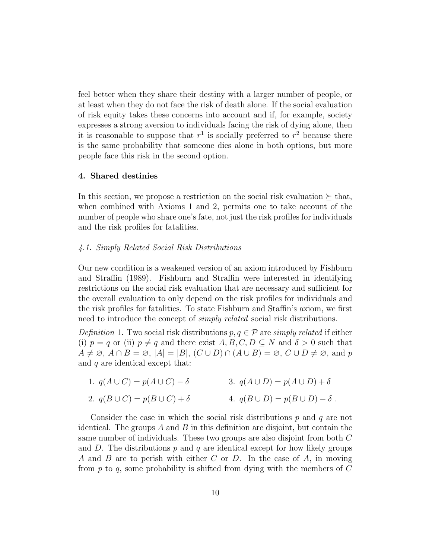feel better when they share their destiny with a larger number of people, or at least when they do not face the risk of death alone. If the social evaluation of risk equity takes these concerns into account and if, for example, society expresses a strong aversion to individuals facing the risk of dying alone, then it is reasonable to suppose that  $r<sup>1</sup>$  is socially preferred to  $r<sup>2</sup>$  because there is the same probability that someone dies alone in both options, but more people face this risk in the second option.

## **4. Shared destinies**

In this section, we propose a restriction on the social risk evaluation  $\succeq$  that, when combined with Axioms 1 and 2, permits one to take account of the number of people who share one's fate, not just the risk profiles for individuals and the risk profiles for fatalities.

#### 4.1. Simply Related Social Risk Distributions

Our new condition is a weakened version of an axiom introduced by Fishburn and Straffin (1989). Fishburn and Straffin were interested in identifying restrictions on the social risk evaluation that are necessary and sufficient for the overall evaluation to only depend on the risk profiles for individuals and the risk profiles for fatalities. To state Fishburn and Staffin's axiom, we first need to introduce the concept of *simply related* social risk distributions.

Definition 1. Two social risk distributions  $p, q \in \mathcal{P}$  are simply related if either (i)  $p = q$  or (ii)  $p \neq q$  and there exist  $A, B, C, D \subseteq N$  and  $\delta > 0$  such that  $A \neq \emptyset$ ,  $A \cap B = \emptyset$ ,  $|A| = |B|$ ,  $(C \cup D) \cap (A \cup B) = \emptyset$ ,  $C \cup D \neq \emptyset$ , and p and  $q$  are identical except that:

1.  $q(A \cup C) = p(A \cup C) - \delta$ 2.  $q(B\cup C) = p(B\cup C) + \delta$ 3.  $q(A \cup D) = p(A \cup D) + \delta$ 4.  $q(B \cup D) = p(B \cup D) - \delta$ .

Consider the case in which the social risk distributions  $p$  and  $q$  are not identical. The groups  $A$  and  $B$  in this definition are disjoint, but contain the same number of individuals. These two groups are also disjoint from both C and D. The distributions  $p$  and  $q$  are identical except for how likely groups A and B are to perish with either C or D. In the case of A, in moving from  $p$  to  $q$ , some probability is shifted from dying with the members of  $C$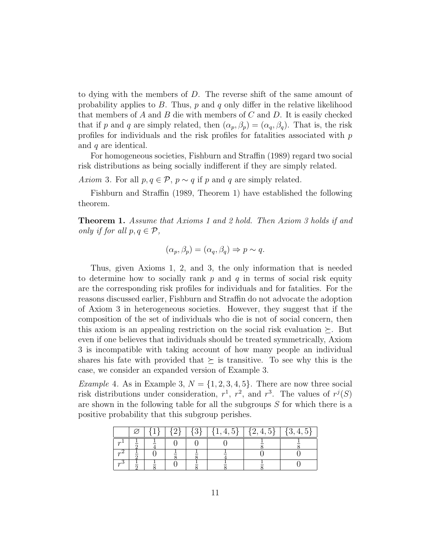to dying with the members of D. The reverse shift of the same amount of probability applies to  $B$ . Thus,  $p$  and  $q$  only differ in the relative likelihood that members of A and B die with members of C and D. It is easily checked that if p and q are simply related, then  $(\alpha_p, \beta_p) = (\alpha_q, \beta_q)$ . That is, the risk profiles for individuals and the risk profiles for fatalities associated with p and q are identical.

For homogeneous societies, Fishburn and Straffin (1989) regard two social risk distributions as being socially indifferent if they are simply related.

Axiom 3. For all  $p, q \in \mathcal{P}$ ,  $p \sim q$  if p and q are simply related.

Fishburn and Straffin (1989, Theorem 1) have established the following theorem.

**Theorem 1.** Assume that Axioms 1 and 2 hold. Then Axiom 3 holds if and only if for all  $p, q \in \mathcal{P}$ ,

$$
(\alpha_p, \beta_p) = (\alpha_q, \beta_q) \Rightarrow p \sim q.
$$

Thus, given Axioms 1, 2, and 3, the only information that is needed to determine how to socially rank  $p$  and  $q$  in terms of social risk equity are the corresponding risk profiles for individuals and for fatalities. For the reasons discussed earlier, Fishburn and Straffin do not advocate the adoption of Axiom 3 in heterogeneous societies. However, they suggest that if the composition of the set of individuals who die is not of social concern, then this axiom is an appealing restriction on the social risk evaluation  $\succeq$ . But even if one believes that individuals should be treated symmetrically, Axiom 3 is incompatible with taking account of how many people an individual shares his fate with provided that  $\succeq$  is transitive. To see why this is the case, we consider an expanded version of Example 3.

*Example 4.* As in Example 3,  $N = \{1, 2, 3, 4, 5\}$ . There are now three social risk distributions under consideration,  $r^1$ ,  $r^2$ , and  $r^3$ . The values of  $r^j(S)$ are shown in the following table for all the subgroups S for which there is a positive probability that this subgroup perishes.

|               |  |  | $1 \t{1}$ | ►<br>$\{2,4,5\}$ |  |
|---------------|--|--|-----------|------------------|--|
| $\sim$ $\pm$  |  |  |           |                  |  |
| $\sim$ $\sim$ |  |  |           |                  |  |
| $\sim$        |  |  |           |                  |  |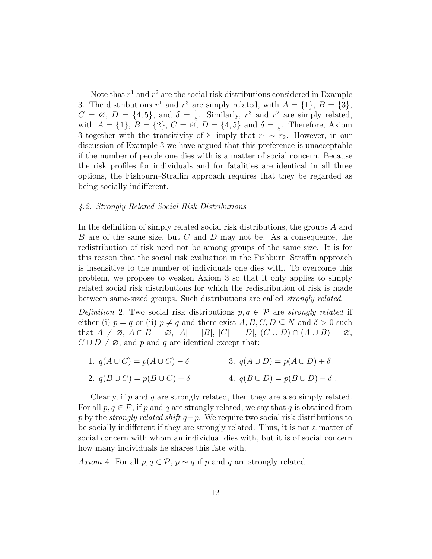Note that  $r^1$  and  $r^2$  are the social risk distributions considered in Example 3. The distributions  $r^1$  and  $r^3$  are simply related, with  $A = \{1\}$ ,  $B = \{3\}$ ,  $C = \emptyset$ ,  $D = \{4, 5\}$ , and  $\delta = \frac{1}{8}$ . Similarly,  $r^3$  and  $r^2$  are simply related, with  $A = \{1\}, B = \{2\}, C = \emptyset, D = \{4, 5\}$  and  $\delta = \frac{1}{8}$ . Therefore, Axiom 3 together with the transitivity of  $\succeq$  imply that  $r_1 \sim r_2$ . However, in our discussion of Example 3 we have argued that this preference is unacceptable if the number of people one dies with is a matter of social concern. Because the risk profiles for individuals and for fatalities are identical in all three options, the Fishburn–Straffin approach requires that they be regarded as being socially indifferent.

#### 4.2. Strongly Related Social Risk Distributions

In the definition of simply related social risk distributions, the groups A and B are of the same size, but C and D may not be. As a consequence, the redistribution of risk need not be among groups of the same size. It is for this reason that the social risk evaluation in the Fishburn–Straffin approach is insensitive to the number of individuals one dies with. To overcome this problem, we propose to weaken Axiom 3 so that it only applies to simply related social risk distributions for which the redistribution of risk is made between same-sized groups. Such distributions are called strongly related.

Definition 2. Two social risk distributions  $p, q \in \mathcal{P}$  are strongly related if either (i)  $p = q$  or (ii)  $p \neq q$  and there exist  $A, B, C, D \subseteq N$  and  $\delta > 0$  such that  $A \neq \emptyset$ ,  $A \cap B = \emptyset$ ,  $|A| = |B|$ ,  $|C| = |D|$ ,  $(C \cup D) \cap (A \cup B) = \emptyset$ ,  $C \cup D \neq \emptyset$ , and p and q are identical except that:

1.  $q(A \cup C) = p(A \cup C) - \delta$ 3.  $q(A \cup D) = p(A \cup D) + \delta$ 

2. 
$$
q(B \cup C) = p(B \cup C) + \delta
$$
 4.  $q(B \cup D) = p(B \cup D) - \delta$ .

Clearly, if  $p$  and  $q$  are strongly related, then they are also simply related. For all  $p, q \in \mathcal{P}$ , if p and q are strongly related, we say that q is obtained from p by the *strongly related shift*  $q-p$ . We require two social risk distributions to be socially indifferent if they are strongly related. Thus, it is not a matter of social concern with whom an individual dies with, but it is of social concern how many individuals he shares this fate with.

Axiom 4. For all  $p, q \in \mathcal{P}$ ,  $p \sim q$  if p and q are strongly related.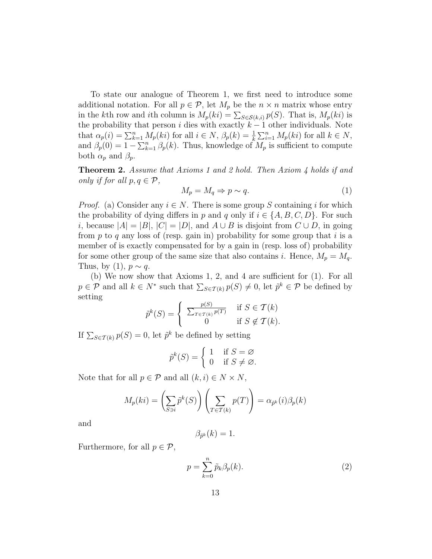To state our analogue of Theorem 1, we first need to introduce some additional notation. For all  $p \in \mathcal{P}$ , let  $M_p$  be the  $n \times n$  matrix whose entry in the kth row and ith column is  $M_p(ki) = \sum_{S \in \mathcal{S}(k,i)} p(S)$ . That is,  $M_p(ki)$  is the probability that person i dies with exactly  $k-1$  other individuals. Note that  $\alpha_p(i) = \sum_{k=1}^n M_p(ki)$  for all  $i \in N$ ,  $\beta_p(k) = \frac{1}{k} \sum_{i=1}^n M_p(ki)$  for all  $k \in N$ , and  $\beta_p(0) = 1 - \sum_{k=1}^n \beta_p(k)$ . Thus, knowledge of  $M_p$  is sufficient to compute both  $\alpha_p$  and  $\beta_p$ .

**Theorem 2.** Assume that Axioms 1 and 2 hold. Then Axiom 4 holds if and only if for all  $p, q \in \mathcal{P}$ ,

$$
M_p = M_q \Rightarrow p \sim q. \tag{1}
$$

*Proof.* (a) Consider any  $i \in N$ . There is some group S containing i for which the probability of dying differs in p and q only if  $i \in \{A, B, C, D\}$ . For such i, because  $|A| = |B|$ ,  $|C| = |D|$ , and  $A \cup B$  is disjoint from  $C \cup D$ , in going from p to q any loss of (resp. gain in) probability for some group that i is a member of is exactly compensated for by a gain in (resp. loss of) probability for some other group of the same size that also contains i. Hence,  $M_p = M_q$ . Thus, by (1),  $p \sim q$ .

(b) We now show that Axioms 1, 2, and 4 are sufficient for (1). For all  $p \in \mathcal{P}$  and all  $k \in \mathbb{N}^*$  such that  $\sum_{S \in \mathcal{T}(k)} p(S) \neq 0$ , let  $\tilde{p}^k \in \mathcal{P}$  be defined by setting

$$
\tilde{p}^k(S) = \begin{cases} \frac{p(S)}{\sum_{T \in \mathcal{T}(k)} p(T)} & \text{if } S \in \mathcal{T}(k) \\ 0 & \text{if } S \notin \mathcal{T}(k). \end{cases}
$$

If  $\sum_{S \in \mathcal{T}(k)} p(S) = 0$ , let  $\tilde{p}^k$  be defined by setting

$$
\tilde{p}^k(S) = \begin{cases} 1 & \text{if } S = \varnothing \\ 0 & \text{if } S \neq \varnothing. \end{cases}
$$

Note that for all  $p \in \mathcal{P}$  and all  $(k, i) \in N \times N$ ,

$$
M_p(ki) = \left(\sum_{S \ni i} \tilde{p}^k(S)\right) \left(\sum_{T \in \mathcal{T}(k)} p(T)\right) = \alpha_{\tilde{p}^k}(i)\beta_p(k)
$$

and

$$
\beta_{\tilde{p}^k}(k) = 1.
$$

Furthermore, for all  $p \in \mathcal{P}$ ,

$$
p = \sum_{k=0}^{n} \tilde{p}_k \beta_p(k).
$$
 (2)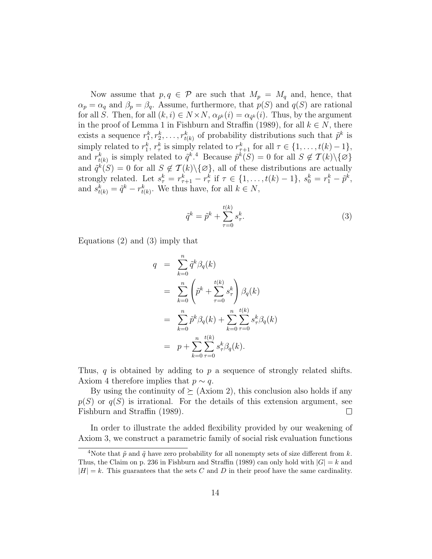Now assume that  $p, q \in \mathcal{P}$  are such that  $M_p = M_q$  and, hence, that  $\alpha_p = \alpha_q$  and  $\beta_p = \beta_q$ . Assume, furthermore, that  $p(S)$  and  $q(S)$  are rational for all S. Then, for all  $(k, i) \in N \times N$ ,  $\alpha_{\tilde{p}^k}(i) = \alpha_{\tilde{q}^k}(i)$ . Thus, by the argument in the proof of Lemma 1 in Fishburn and Straffin (1989), for all  $k \in N$ , there exists a sequence  $r_1^k, r_2^k, \ldots, r_{t(k)}^k$  of probability distributions such that  $\tilde{p}^k$  is simply related to  $r_1^k$ ,  $r_\tau^k$  is simply related to  $r_{\tau+1}^k$  for all  $\tau \in \{1, \ldots, t(k) - 1\}$ , and  $r_{t(k)}^k$  is simply related to  $\tilde{q}^k$ .<sup>4</sup> Because  $\tilde{p}^k(S) = 0$  for all  $S \notin \mathcal{T}(k) \setminus \{ \varnothing \}$ and  $\tilde{q}^k(S) = 0$  for all  $S \notin \mathcal{T}(k) \setminus \{ \varnothing \}$ , all of these distributions are actually strongly related. Let  $s_{\tau}^k = r_{\tau+1}^k - r_{\tau}^k$  if  $\tau \in \{1, ..., t(k) - 1\}$ ,  $s_0^k = r_1^k - \tilde{p}^k$ , and  $s_{t(k)}^k = \tilde{q}^k - r_{t(k)}^k$ . We thus have, for all  $k \in N$ ,

$$
\tilde{q}^k = \tilde{p}^k + \sum_{\tau=0}^{t(k)} s_{\tau}^k.
$$
 (3)

Equations (2) and (3) imply that

$$
q = \sum_{k=0}^{n} \tilde{q}^{k} \beta_{q}(k)
$$
  
\n
$$
= \sum_{k=0}^{n} \left( \tilde{p}^{k} + \sum_{\tau=0}^{t(k)} s_{\tau}^{k} \right) \beta_{q}(k)
$$
  
\n
$$
= \sum_{k=0}^{n} \tilde{p}^{k} \beta_{q}(k) + \sum_{k=0}^{n} \sum_{\tau=0}^{t(k)} s_{\tau}^{k} \beta_{q}(k)
$$
  
\n
$$
= p + \sum_{k=0}^{n} \sum_{\tau=0}^{t(k)} s_{\tau}^{k} \beta_{q}(k).
$$

Thus, q is obtained by adding to p a sequence of strongly related shifts. Axiom 4 therefore implies that  $p \sim q$ .

By using the continuity of  $\succeq$  (Axiom 2), this conclusion also holds if any  $p(S)$  or  $q(S)$  is irrational. For the details of this extension argument, see Fishburn and Straffin (1989).  $\Box$ 

In order to illustrate the added flexibility provided by our weakening of Axiom 3, we construct a parametric family of social risk evaluation functions

<sup>&</sup>lt;sup>4</sup>Note that  $\tilde{p}$  and  $\tilde{q}$  have zero probability for all nonempty sets of size different from k. Thus, the Claim on p. 236 in Fishburn and Straffin (1989) can only hold with  $|G| = k$  and  $|H| = k$ . This guarantees that the sets C and D in their proof have the same cardinality.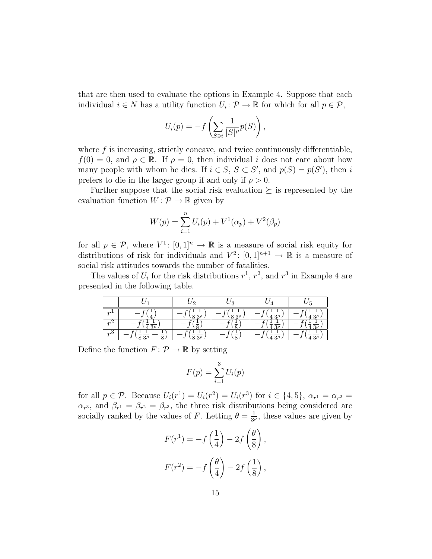that are then used to evaluate the options in Example 4. Suppose that each individual  $i \in N$  has a utility function  $U_i: \mathcal{P} \to \mathbb{R}$  for which for all  $p \in \mathcal{P}$ ,

$$
U_i(p) = -f\left(\sum_{S\ni i} \frac{1}{|S|^\rho} p(S)\right),\,
$$

where  $f$  is increasing, strictly concave, and twice continuously differentiable,  $f(0) = 0$ , and  $\rho \in \mathbb{R}$ . If  $\rho = 0$ , then individual i does not care about how many people with whom he dies. If  $i \in S$ ,  $S \subset S'$ , and  $p(S) = p(S')$ , then i prefers to die in the larger group if and only if  $\rho > 0$ .

Further suppose that the social risk evaluation  $\succeq$  is represented by the evaluation function  $W: \mathcal{P} \to \mathbb{R}$  given by

$$
W(p) = \sum_{i=1}^{n} U_i(p) + V^1(\alpha_p) + V^2(\beta_p)
$$

for all  $p \in \mathcal{P}$ , where  $V^1$ :  $[0, 1]^n \to \mathbb{R}$  is a measure of social risk equity for distributions of risk for individuals and  $V^2$ :  $[0,1]^{n+1} \to \mathbb{R}$  is a measure of social risk attitudes towards the number of fatalities.

The values of  $U_i$  for the risk distributions  $r^1$ ,  $r^2$ , and  $r^3$  in Example 4 are presented in the following table.

|        | c | റ | $\overline{\phantom{0}}$ |
|--------|---|---|--------------------------|
| $\sim$ |   |   |                          |
| $\sim$ |   |   |                          |
| $\sim$ |   |   |                          |

Define the function  $F: \mathcal{P} \to \mathbb{R}$  by setting

$$
F(p) = \sum_{i=1}^{3} U_i(p)
$$

for all  $p \in \mathcal{P}$ . Because  $U_i(r^1) = U_i(r^2) = U_i(r^3)$  for  $i \in \{4, 5\}$ ,  $\alpha_{r^1} = \alpha_{r^2} =$  $\alpha_{r^3}$ , and  $\beta_{r^1} = \beta_{r^2} = \beta_{r^3}$ , the three risk distributions being considered are socially ranked by the values of F. Letting  $\theta = \frac{1}{3\rho}$ , these values are given by

$$
F(r^{1}) = -f\left(\frac{1}{4}\right) - 2f\left(\frac{\theta}{8}\right),
$$

$$
F(r^{2}) = -f\left(\frac{\theta}{4}\right) - 2f\left(\frac{1}{8}\right),
$$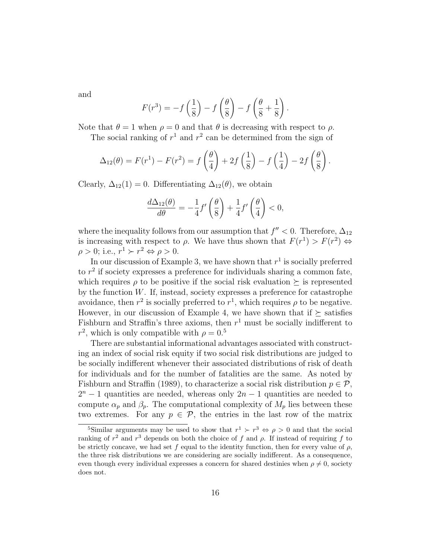and

$$
F(r^{3}) = -f\left(\frac{1}{8}\right) - f\left(\frac{\theta}{8}\right) - f\left(\frac{\theta}{8} + \frac{1}{8}\right).
$$

Note that  $\theta = 1$  when  $\rho = 0$  and that  $\theta$  is decreasing with respect to  $\rho$ . The social ranking of  $r^1$  and  $r^2$  can be determined from the sign of

$$
\Delta_{12}(\theta) = F(r^1) - F(r^2) = f\left(\frac{\theta}{4}\right) + 2f\left(\frac{1}{8}\right) - f\left(\frac{1}{4}\right) - 2f\left(\frac{\theta}{8}\right).
$$

Clearly,  $\Delta_{12}(1) = 0$ . Differentiating  $\Delta_{12}(\theta)$ , we obtain

$$
\frac{d\Delta_{12}(\theta)}{d\theta} = -\frac{1}{4}f'\left(\frac{\theta}{8}\right) + \frac{1}{4}f'\left(\frac{\theta}{4}\right) < 0,
$$

where the inequality follows from our assumption that  $f'' < 0$ . Therefore,  $\Delta_{12}$ is increasing with respect to  $\rho$ . We have thus shown that  $F(r^1) > F(r^2) \Leftrightarrow$  $\rho > 0$ ; i.e.,  $r^1 \succ r^2 \Leftrightarrow \rho > 0$ .

In our discussion of Example 3, we have shown that  $r<sup>1</sup>$  is socially preferred to  $r^2$  if society expresses a preference for individuals sharing a common fate, which requires  $\rho$  to be positive if the social risk evaluation  $\succeq$  is represented by the function  $W$ . If, instead, society expresses a preference for catastrophe avoidance, then  $r^2$  is socially preferred to  $r^1$ , which requires  $\rho$  to be negative. However, in our discussion of Example 4, we have shown that if  $\succeq$  satisfies Fishburn and Straffin's three axioms, then  $r<sup>1</sup>$  must be socially indifferent to  $r^2$ , which is only compatible with  $\rho = 0.5$ 

There are substantial informational advantages associated with constructing an index of social risk equity if two social risk distributions are judged to be socially indifferent whenever their associated distributions of risk of death for individuals and for the number of fatalities are the same. As noted by Fishburn and Straffin (1989), to characterize a social risk distribution  $p \in \mathcal{P}$ ,  $2^{n} - 1$  quantities are needed, whereas only  $2n - 1$  quantities are needed to compute  $\alpha_p$  and  $\beta_p$ . The computational complexity of  $M_p$  lies between these two extremes. For any  $p \in \mathcal{P}$ , the entries in the last row of the matrix

<sup>&</sup>lt;sup>5</sup>Similar arguments may be used to show that  $r^1 \succ r^3 \Leftrightarrow \rho > 0$  and that the social ranking of  $r^2$  and  $r^3$  depends on both the choice of f and  $\rho$ . If instead of requiring f to be strictly concave, we had set f equal to the identity function, then for every value of  $\rho$ , the three risk distributions we are considering are socially indifferent. As a consequence, even though every individual expresses a concern for shared destinies when  $\rho \neq 0$ , society does not.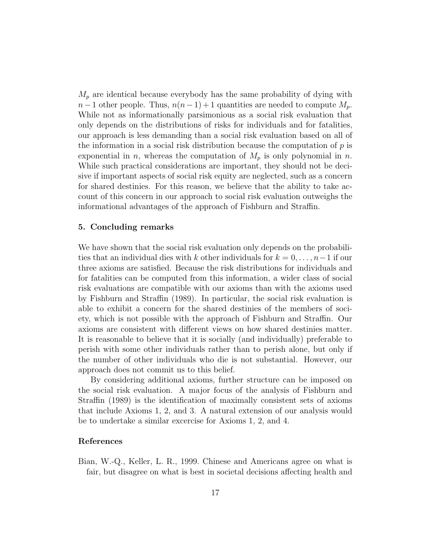$M_p$  are identical because everybody has the same probability of dying with  $n-1$  other people. Thus,  $n(n-1)+1$  quantities are needed to compute  $M_p$ . While not as informationally parsimonious as a social risk evaluation that only depends on the distributions of risks for individuals and for fatalities, our approach is less demanding than a social risk evaluation based on all of the information in a social risk distribution because the computation of  $p$  is exponential in n, whereas the computation of  $M_p$  is only polynomial in n. While such practical considerations are important, they should not be decisive if important aspects of social risk equity are neglected, such as a concern for shared destinies. For this reason, we believe that the ability to take account of this concern in our approach to social risk evaluation outweighs the informational advantages of the approach of Fishburn and Straffin.

#### **5. Concluding remarks**

We have shown that the social risk evaluation only depends on the probabilities that an individual dies with k other individuals for  $k = 0, \ldots, n-1$  if our three axioms are satisfied. Because the risk distributions for individuals and for fatalities can be computed from this information, a wider class of social risk evaluations are compatible with our axioms than with the axioms used by Fishburn and Straffin (1989). In particular, the social risk evaluation is able to exhibit a concern for the shared destinies of the members of society, which is not possible with the approach of Fishburn and Straffin. Our axioms are consistent with different views on how shared destinies matter. It is reasonable to believe that it is socially (and individually) preferable to perish with some other individuals rather than to perish alone, but only if the number of other individuals who die is not substantial. However, our approach does not commit us to this belief.

By considering additional axioms, further structure can be imposed on the social risk evaluation. A major focus of the analysis of Fishburn and Straffin (1989) is the identification of maximally consistent sets of axioms that include Axioms 1, 2, and 3. A natural extension of our analysis would be to undertake a similar excercise for Axioms 1, 2, and 4.

## **References**

Bian, W.-Q., Keller, L. R., 1999. Chinese and Americans agree on what is fair, but disagree on what is best in societal decisions affecting health and